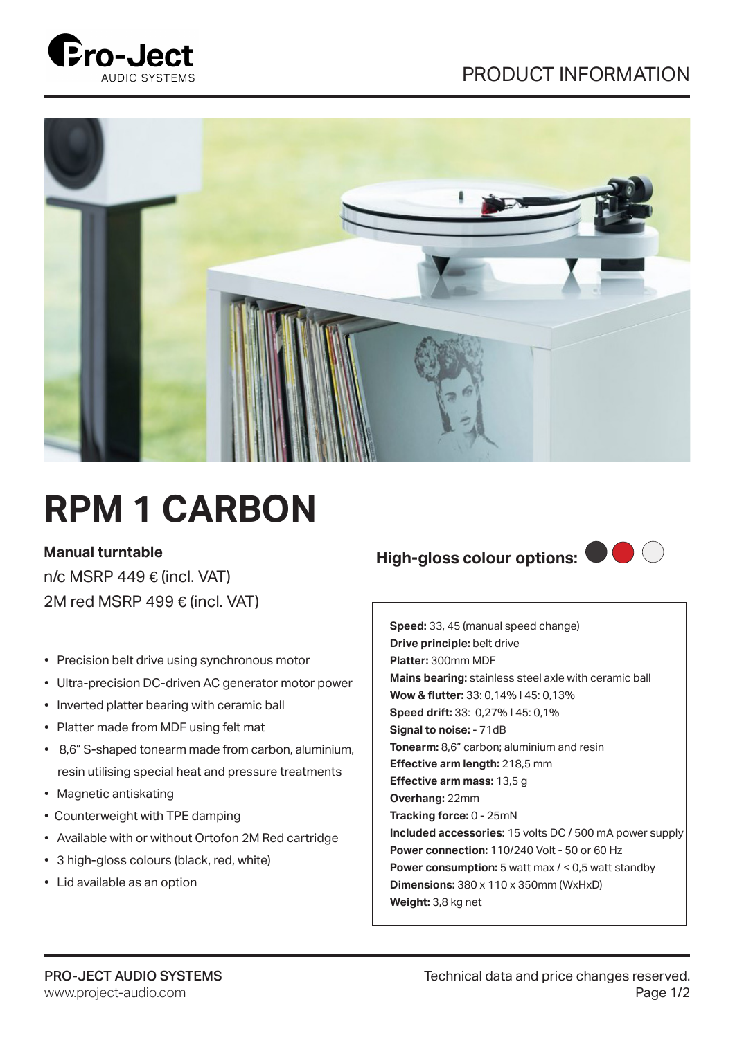



# **RPM 1 CARBON**

#### **Manual turntable**

n/c MSRP 449  $€$  (incl. VAT) 2M red MSRP 499 $\epsilon$  (incl. VAT)

- Precision belt drive using synchronous motor
- Ultra-precision DC-driven AC generator motor power
- Inverted platter bearing with ceramic ball
- Platter made from MDF using felt mat
- 8,6" S-shaped tonearm made from carbon, aluminium, resin utilising special heat and pressure treatments
- Magnetic antiskating
- Counterweight with TPE damping
- Available with or without Ortofon 2M Red cartridge
- 3 high-gloss colours (black, red, white)
- Lid available as an option

## **High-gloss colour options:**



**Speed:** 33, 45 (manual speed change) **Drive principle:** belt drive **Platter:** 300mm MDF **Mains bearing:** stainless steel axle with ceramic ball **Wow & flutter:** 33: 0,14% I 45: 0,13% **Speed drift:** 33: 0,27% I 45: 0,1% **Signal to noise:** - 71dB **Tonearm:** 8,6" carbon; aluminium and resin **Effective arm length:** 218,5 mm **Effective arm mass:** 13,5 g **Overhang:** 22mm **Tracking force:** 0 - 25mN **Included accessories:** 15 volts DC / 500 mA power supply **Power connection:** 110/240 Volt - 50 or 60 Hz **Power consumption:** 5 watt max / < 0,5 watt standby **Dimensions:** 380 x 110 x 350mm (WxHxD) **Weight:** 3,8 kg net